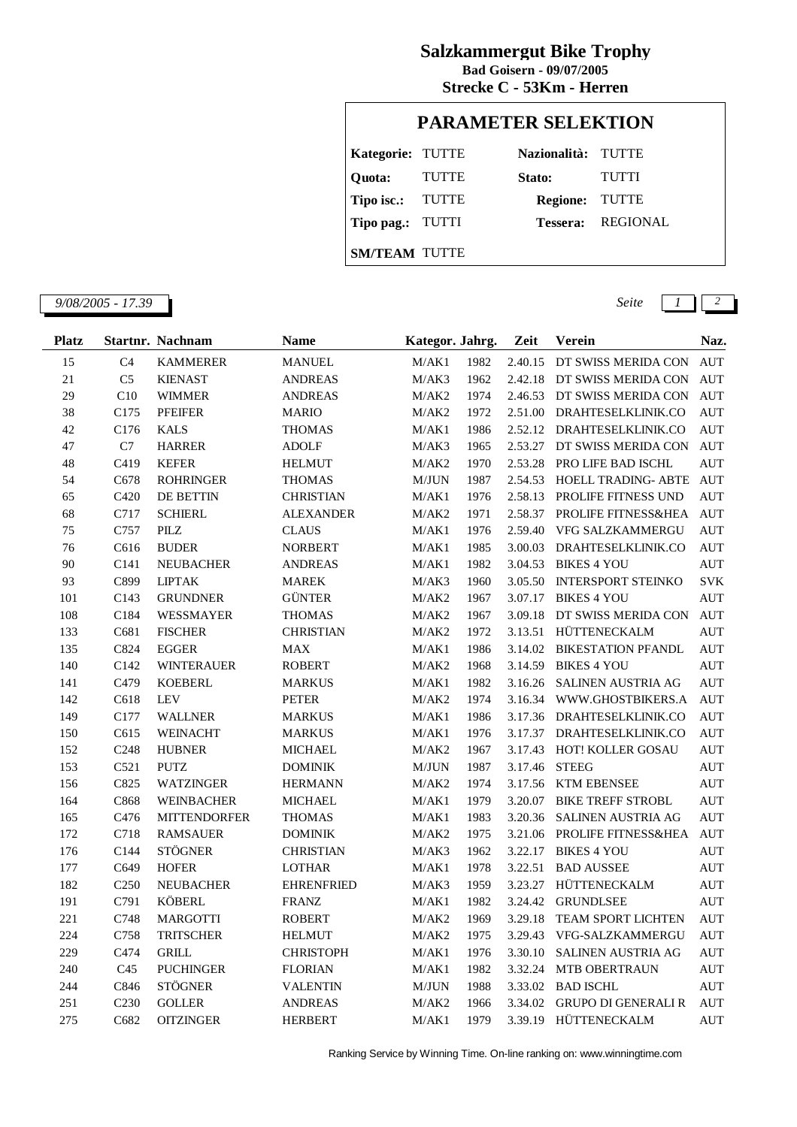## **Salzkammergut Bike Trophy**

**Strecke C - 53Km - Herren Bad Goisern - 09/07/2005**

## **PARAMETER SELEKTION**

| Kategorie: TUTTE     |       | Nazionalità: TUTTE    |                          |
|----------------------|-------|-----------------------|--------------------------|
| Quota:               | TUTTE | Stato:                | <b>TUTTI</b>             |
| Tipo isc.: TUTTE     |       | <b>Regione: TUTTE</b> |                          |
| Tipo pag.: TUTTI     |       |                       | <b>Tessera: REGIONAL</b> |
| <b>SM/TEAM TUTTE</b> |       |                       |                          |

*9/08/2005 - 17.39 Seite 1 2*

| <b>Platz</b> |                  | Startnr. Nachnam    | <b>Name</b>       | Kategor. Jahrg. |      | Zeit    | Verein                     | Naz.       |
|--------------|------------------|---------------------|-------------------|-----------------|------|---------|----------------------------|------------|
| 15           | C <sub>4</sub>   | <b>KAMMERER</b>     | <b>MANUEL</b>     | M/AK1           | 1982 | 2.40.15 | DT SWISS MERIDA CON        | <b>AUT</b> |
| 21           | C <sub>5</sub>   | <b>KIENAST</b>      | <b>ANDREAS</b>    | M/AK3           | 1962 | 2.42.18 | DT SWISS MERIDA CON        | <b>AUT</b> |
| 29           | C10              | <b>WIMMER</b>       | <b>ANDREAS</b>    | M/AK2           | 1974 | 2.46.53 | DT SWISS MERIDA CON        | <b>AUT</b> |
| 38           | C175             | <b>PFEIFER</b>      | <b>MARIO</b>      | M/AK2           | 1972 | 2.51.00 | DRAHTESELKLINIK.CO         | <b>AUT</b> |
| 42           | C176             | <b>KALS</b>         | <b>THOMAS</b>     | M/AK1           | 1986 | 2.52.12 | DRAHTESELKLINIK.CO         | <b>AUT</b> |
| 47           | C7               | <b>HARRER</b>       | <b>ADOLF</b>      | M/AK3           | 1965 | 2.53.27 | DT SWISS MERIDA CON        | <b>AUT</b> |
| 48           | C419             | <b>KEFER</b>        | <b>HELMUT</b>     | M/AK2           | 1970 | 2.53.28 | PRO LIFE BAD ISCHL         | <b>AUT</b> |
| 54           | C678             | <b>ROHRINGER</b>    | <b>THOMAS</b>     | M/JUN           | 1987 | 2.54.53 | HOELL TRADING- ABTE        | <b>AUT</b> |
| 65           | C420             | DE BETTIN           | <b>CHRISTIAN</b>  | M/AK1           | 1976 | 2.58.13 | PROLIFE FITNESS UND        | <b>AUT</b> |
| 68           | C717             | <b>SCHIERL</b>      | <b>ALEXANDER</b>  | M/AK2           | 1971 | 2.58.37 | PROLIFE FITNESS&HEA        | <b>AUT</b> |
| 75           | C757             | PILZ                | <b>CLAUS</b>      | M/AK1           | 1976 | 2.59.40 | VFG SALZKAMMERGU           | <b>AUT</b> |
| 76           | C616             | <b>BUDER</b>        | <b>NORBERT</b>    | M/AK1           | 1985 | 3.00.03 | DRAHTESELKLINIK.CO         | <b>AUT</b> |
| 90           | C <sub>141</sub> | <b>NEUBACHER</b>    | <b>ANDREAS</b>    | M/AK1           | 1982 | 3.04.53 | <b>BIKES 4 YOU</b>         | <b>AUT</b> |
| 93           | C899             | <b>LIPTAK</b>       | <b>MAREK</b>      | M/AK3           | 1960 | 3.05.50 | <b>INTERSPORT STEINKO</b>  | <b>SVK</b> |
| 101          | C143             | <b>GRUNDNER</b>     | <b>GÜNTER</b>     | M/AK2           | 1967 | 3.07.17 | <b>BIKES 4 YOU</b>         | <b>AUT</b> |
| 108          | C184             | <b>WESSMAYER</b>    | <b>THOMAS</b>     | M/AK2           | 1967 | 3.09.18 | DT SWISS MERIDA CON        | <b>AUT</b> |
| 133          | C681             | <b>FISCHER</b>      | <b>CHRISTIAN</b>  | M/AK2           | 1972 | 3.13.51 | HÜTTENECKALM               | <b>AUT</b> |
| 135          | C824             | <b>EGGER</b>        | <b>MAX</b>        | M/AK1           | 1986 | 3.14.02 | <b>BIKESTATION PFANDL</b>  | <b>AUT</b> |
| 140          | C142             | <b>WINTERAUER</b>   | <b>ROBERT</b>     | M/AK2           | 1968 | 3.14.59 | <b>BIKES 4 YOU</b>         | <b>AUT</b> |
| 141          | C479             | <b>KOEBERL</b>      | <b>MARKUS</b>     | M/AK1           | 1982 | 3.16.26 | <b>SALINEN AUSTRIA AG</b>  | <b>AUT</b> |
| 142          | C618             | <b>LEV</b>          | PETER             | M/AK2           | 1974 | 3.16.34 | WWW.GHOSTBIKERS.A          | <b>AUT</b> |
| 149          | C177             | <b>WALLNER</b>      | <b>MARKUS</b>     | M/AK1           | 1986 | 3.17.36 | DRAHTESELKLINIK.CO         | <b>AUT</b> |
| 150          | C615             | <b>WEINACHT</b>     | <b>MARKUS</b>     | M/AK1           | 1976 | 3.17.37 | DRAHTESELKLINIK.CO         | <b>AUT</b> |
| 152          | C <sub>248</sub> | <b>HUBNER</b>       | <b>MICHAEL</b>    | M/AK2           | 1967 | 3.17.43 | HOT! KOLLER GOSAU          | <b>AUT</b> |
| 153          | C <sub>521</sub> | <b>PUTZ</b>         | <b>DOMINIK</b>    | M/JUN           | 1987 | 3.17.46 | <b>STEEG</b>               | <b>AUT</b> |
| 156          | C825             | <b>WATZINGER</b>    | <b>HERMANN</b>    | M/AK2           | 1974 | 3.17.56 | <b>KTM EBENSEE</b>         | <b>AUT</b> |
| 164          | C868             | WEINBACHER          | <b>MICHAEL</b>    | M/AK1           | 1979 | 3.20.07 | <b>BIKE TREFF STROBL</b>   | <b>AUT</b> |
| 165          | C476             | <b>MITTENDORFER</b> | <b>THOMAS</b>     | M/AK1           | 1983 | 3.20.36 | <b>SALINEN AUSTRIA AG</b>  | <b>AUT</b> |
| 172          | C718             | <b>RAMSAUER</b>     | <b>DOMINIK</b>    | M/AK2           | 1975 | 3.21.06 | PROLIFE FITNESS&HEA        | <b>AUT</b> |
| 176          | C144             | <b>STÖGNER</b>      | <b>CHRISTIAN</b>  | M/AK3           | 1962 | 3.22.17 | <b>BIKES 4 YOU</b>         | <b>AUT</b> |
| 177          | C649             | <b>HOFER</b>        | <b>LOTHAR</b>     | M/AK1           | 1978 | 3.22.51 | <b>BAD AUSSEE</b>          | <b>AUT</b> |
| 182          | C <sub>250</sub> | <b>NEUBACHER</b>    | <b>EHRENFRIED</b> | M/AK3           | 1959 | 3.23.27 | HÜTTENECKALM               | <b>AUT</b> |
| 191          | C791             | KÖBERL              | <b>FRANZ</b>      | M/AK1           | 1982 | 3.24.42 | <b>GRUNDLSEE</b>           | <b>AUT</b> |
| 221          | C748             | <b>MARGOTTI</b>     | <b>ROBERT</b>     | M/AK2           | 1969 | 3.29.18 | <b>TEAM SPORT LICHTEN</b>  | <b>AUT</b> |
| 224          | C758             | <b>TRITSCHER</b>    | <b>HELMUT</b>     | M/AK2           | 1975 | 3.29.43 | VFG-SALZKAMMERGU           | <b>AUT</b> |
| 229          | C474             | <b>GRILL</b>        | <b>CHRISTOPH</b>  | M/AK1           | 1976 | 3.30.10 | SALINEN AUSTRIA AG         | <b>AUT</b> |
| 240          | C <sub>45</sub>  | <b>PUCHINGER</b>    | <b>FLORIAN</b>    | M/AK1           | 1982 | 3.32.24 | <b>MTB OBERTRAUN</b>       | <b>AUT</b> |
| 244          | C846             | <b>STÖGNER</b>      | <b>VALENTIN</b>   | $\text{M/JUN}$  | 1988 | 3.33.02 | <b>BAD ISCHL</b>           | <b>AUT</b> |
| 251          | C <sub>230</sub> | <b>GOLLER</b>       | <b>ANDREAS</b>    | M/AK2           | 1966 | 3.34.02 | <b>GRUPO DI GENERALI R</b> | <b>AUT</b> |
| 275          | C682             | <b>OITZINGER</b>    | <b>HERBERT</b>    | M/AK1           | 1979 | 3.39.19 | HÜTTENECKALM               | <b>AUT</b> |

Ranking Service by Winning Time. On-line ranking on: www.winningtime.com